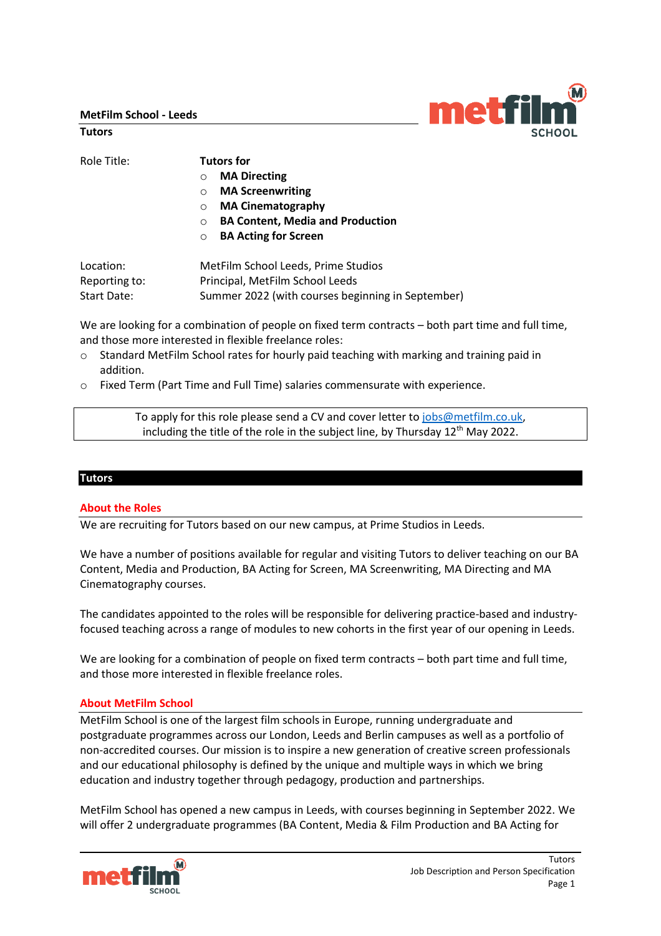**MetFilm School - Leeds**

**Tutors**

| Role Title:   | Tutors for                                          |
|---------------|-----------------------------------------------------|
|               | <b>MA Directing</b><br>$\Omega$                     |
|               | <b>MA Screenwriting</b><br>$\Omega$                 |
|               | <b>MA Cinematography</b><br>$\Omega$                |
|               | <b>BA Content, Media and Production</b><br>$\Omega$ |
|               | <b>BA Acting for Screen</b><br>$\circ$              |
| Location:     | MetFilm School Leeds, Prime Studios                 |
| Reporting to: | Principal, MetFilm School Leeds                     |
| Start Date:   | Summer 2022 (with courses beginning in September)   |

We are looking for a combination of people on fixed term contracts – both part time and full time, and those more interested in flexible freelance roles:

- o Standard MetFilm School rates for hourly paid teaching with marking and training paid in addition.
- o Fixed Term (Part Time and Full Time) salaries commensurate with experience.

To apply for this role please send a CV and cover letter to [jobs@metfilm.co.uk,](mailto:jobs@metfilm.co.uk) including the title of the role in the subject line, by Thursday 12<sup>th</sup> May 2022.

### **Tutors**

### **About the Roles**

We are recruiting for Tutors based on our new campus, at Prime Studios in Leeds.

We have a number of positions available for regular and visiting Tutors to deliver teaching on our BA Content, Media and Production, BA Acting for Screen, MA Screenwriting, MA Directing and MA Cinematography courses.

The candidates appointed to the roles will be responsible for delivering practice-based and industryfocused teaching across a range of modules to new cohorts in the first year of our opening in Leeds.

We are looking for a combination of people on fixed term contracts – both part time and full time, and those more interested in flexible freelance roles.

# **About MetFilm School**

MetFilm School is one of the largest film schools in Europe, running undergraduate and postgraduate programmes across our London, Leeds and Berlin campuses as well as a portfolio of non-accredited courses. Our mission is to inspire a new generation of creative screen professionals and our educational philosophy is defined by the unique and multiple ways in which we bring education and industry together through pedagogy, production and partnerships.

MetFilm School has opened a new campus in Leeds, with courses beginning in September 2022. We will offer 2 undergraduate programmes (BA Content, Media & Film Production and BA Acting for



metfil